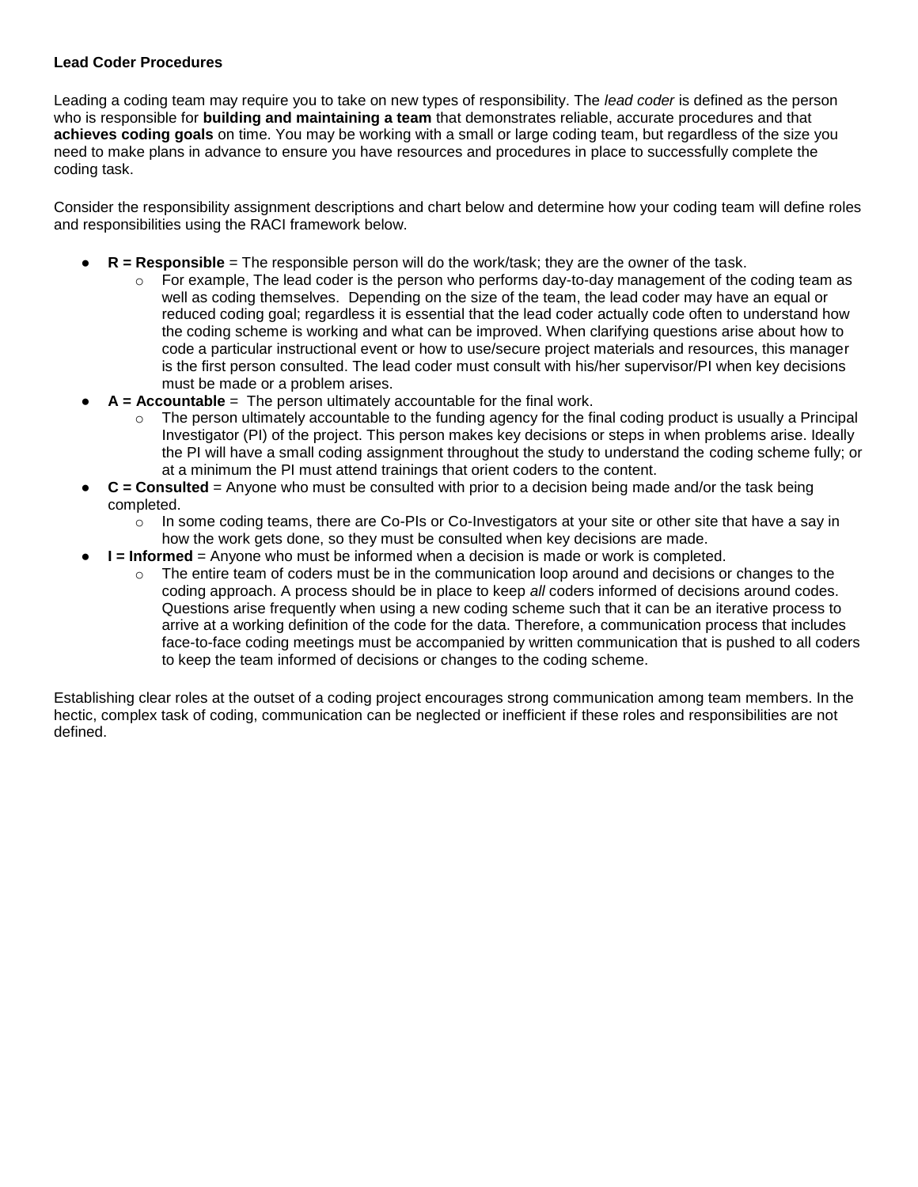## **Lead Coder Procedures**

Leading a coding team may require you to take on new types of responsibility. The *lead coder* is defined as the person who is responsible for **building and maintaining a team** that demonstrates reliable, accurate procedures and that **achieves coding goals** on time. You may be working with a small or large coding team, but regardless of the size you need to make plans in advance to ensure you have resources and procedures in place to successfully complete the coding task.

Consider the responsibility assignment descriptions and chart below and determine how your coding team will define roles and responsibilities using the RACI framework below.

- **R = Responsible** = The responsible person will do the work/task; they are the owner of the task.
	- For example, The lead coder is the person who performs day-to-day management of the coding team as well as coding themselves. Depending on the size of the team, the lead coder may have an equal or reduced coding goal; regardless it is essential that the lead coder actually code often to understand how the coding scheme is working and what can be improved. When clarifying questions arise about how to code a particular instructional event or how to use/secure project materials and resources, this manager is the first person consulted. The lead coder must consult with his/her supervisor/PI when key decisions must be made or a problem arises.
- A = Accountable = The person ultimately accountable for the final work.
	- $\circ$  The person ultimately accountable to the funding agency for the final coding product is usually a Principal Investigator (PI) of the project. This person makes key decisions or steps in when problems arise. Ideally the PI will have a small coding assignment throughout the study to understand the coding scheme fully; or at a minimum the PI must attend trainings that orient coders to the content.
- **C = Consulted** = Anyone who must be consulted with prior to a decision being made and/or the task being completed.
	- $\circ$  In some coding teams, there are Co-PIs or Co-Investigators at your site or other site that have a say in how the work gets done, so they must be consulted when key decisions are made.
- **I = Informed** = Anyone who must be informed when a decision is made or work is completed.
	- $\circ$  The entire team of coders must be in the communication loop around and decisions or changes to the coding approach. A process should be in place to keep *all* coders informed of decisions around codes. Questions arise frequently when using a new coding scheme such that it can be an iterative process to arrive at a working definition of the code for the data. Therefore, a communication process that includes face-to-face coding meetings must be accompanied by written communication that is pushed to all coders to keep the team informed of decisions or changes to the coding scheme.

Establishing clear roles at the outset of a coding project encourages strong communication among team members. In the hectic, complex task of coding, communication can be neglected or inefficient if these roles and responsibilities are not defined.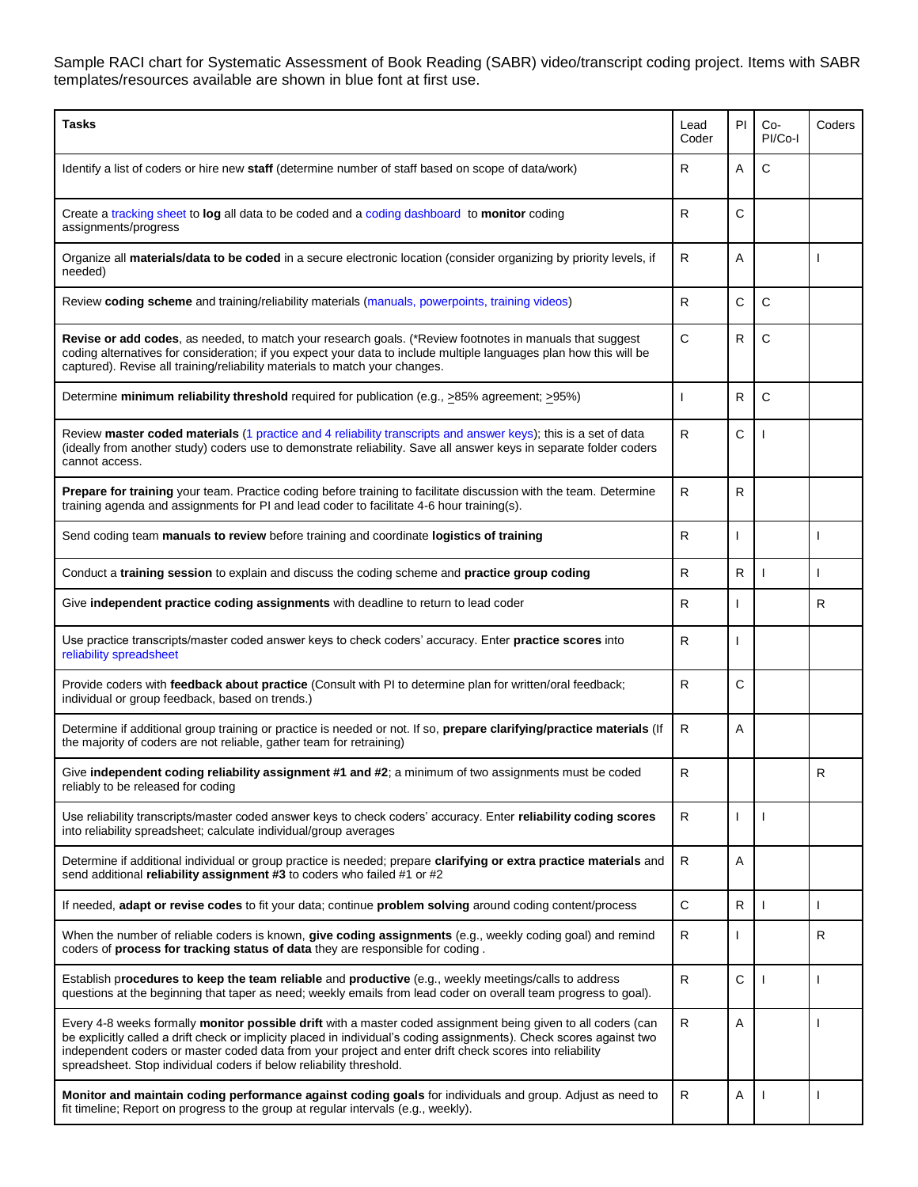Sample RACI chart for Systematic Assessment of Book Reading (SABR) video/transcript coding project. Items with SABR templates/resources available are shown in blue font at first use.

| <b>Tasks</b>                                                                                                                                                                                                                                                                                                                                                                                                                   | Lead<br>Coder | PI           | Co-<br>PI/Co-I | Coders |
|--------------------------------------------------------------------------------------------------------------------------------------------------------------------------------------------------------------------------------------------------------------------------------------------------------------------------------------------------------------------------------------------------------------------------------|---------------|--------------|----------------|--------|
| Identify a list of coders or hire new staff (determine number of staff based on scope of data/work)                                                                                                                                                                                                                                                                                                                            | R             | A            | C              |        |
| Create a tracking sheet to log all data to be coded and a coding dashboard to monitor coding<br>assignments/progress                                                                                                                                                                                                                                                                                                           | R             | C            |                |        |
| Organize all materials/data to be coded in a secure electronic location (consider organizing by priority levels, if<br>needed)                                                                                                                                                                                                                                                                                                 | $\mathsf{R}$  | A            |                |        |
| Review coding scheme and training/reliability materials (manuals, powerpoints, training videos)                                                                                                                                                                                                                                                                                                                                | ${\sf R}$     | C            | C              |        |
| Revise or add codes, as needed, to match your research goals. (*Review footnotes in manuals that suggest<br>coding alternatives for consideration; if you expect your data to include multiple languages plan how this will be<br>captured). Revise all training/reliability materials to match your changes.                                                                                                                  | C             | R            | C              |        |
| Determine minimum reliability threshold required for publication (e.g., ≥85% agreement; ≥95%)                                                                                                                                                                                                                                                                                                                                  |               | R            | C              |        |
| Review master coded materials (1 practice and 4 reliability transcripts and answer keys); this is a set of data<br>(ideally from another study) coders use to demonstrate reliability. Save all answer keys in separate folder coders<br>cannot access.                                                                                                                                                                        | R             | C            |                |        |
| Prepare for training your team. Practice coding before training to facilitate discussion with the team. Determine<br>training agenda and assignments for PI and lead coder to facilitate 4-6 hour training(s).                                                                                                                                                                                                                 | $\mathsf{R}$  | R            |                |        |
| Send coding team manuals to review before training and coordinate logistics of training                                                                                                                                                                                                                                                                                                                                        | ${\sf R}$     |              |                |        |
| Conduct a training session to explain and discuss the coding scheme and practice group coding                                                                                                                                                                                                                                                                                                                                  | R             | R            |                |        |
| Give independent practice coding assignments with deadline to return to lead coder                                                                                                                                                                                                                                                                                                                                             | R             |              |                | R      |
| Use practice transcripts/master coded answer keys to check coders' accuracy. Enter practice scores into<br>reliability spreadsheet                                                                                                                                                                                                                                                                                             | R             | $\mathbf{I}$ |                |        |
| Provide coders with feedback about practice (Consult with PI to determine plan for written/oral feedback;<br>individual or group feedback, based on trends.)                                                                                                                                                                                                                                                                   | $\mathsf{R}$  | C            |                |        |
| Determine if additional group training or practice is needed or not. If so, prepare clarifying/practice materials (If<br>the majority of coders are not reliable, gather team for retraining)                                                                                                                                                                                                                                  | R             | A            |                |        |
| Give independent coding reliability assignment #1 and #2; a minimum of two assignments must be coded<br>reliably to be released for coding                                                                                                                                                                                                                                                                                     | ${\sf R}$     |              |                | R      |
| Use reliability transcripts/master coded answer keys to check coders' accuracy. Enter reliability coding scores<br>into reliability spreadsheet; calculate individual/group averages                                                                                                                                                                                                                                           | $\mathsf{R}$  | T            |                |        |
| Determine if additional individual or group practice is needed; prepare clarifying or extra practice materials and<br>send additional reliability assignment #3 to coders who failed #1 or #2                                                                                                                                                                                                                                  | $\mathsf{R}$  | Α            |                |        |
| If needed, adapt or revise codes to fit your data; continue problem solving around coding content/process                                                                                                                                                                                                                                                                                                                      | $\mathsf C$   | $\mathsf{R}$ |                |        |
| When the number of reliable coders is known, give coding assignments (e.g., weekly coding goal) and remind<br>coders of process for tracking status of data they are responsible for coding.                                                                                                                                                                                                                                   | $\mathsf R$   | $\mathbf{I}$ |                | R      |
| Establish procedures to keep the team reliable and productive (e.g., weekly meetings/calls to address<br>questions at the beginning that taper as need; weekly emails from lead coder on overall team progress to goal).                                                                                                                                                                                                       | ${\sf R}$     | С            |                |        |
| Every 4-8 weeks formally <b>monitor possible drift</b> with a master coded assignment being given to all coders (can<br>be explicitly called a drift check or implicity placed in individual's coding assignments). Check scores against two<br>independent coders or master coded data from your project and enter drift check scores into reliability<br>spreadsheet. Stop individual coders if below reliability threshold. | ${\sf R}$     | Α            |                |        |
| Monitor and maintain coding performance against coding goals for individuals and group. Adjust as need to<br>fit timeline; Report on progress to the group at regular intervals (e.g., weekly).                                                                                                                                                                                                                                | $\mathsf R$   | Α            |                |        |